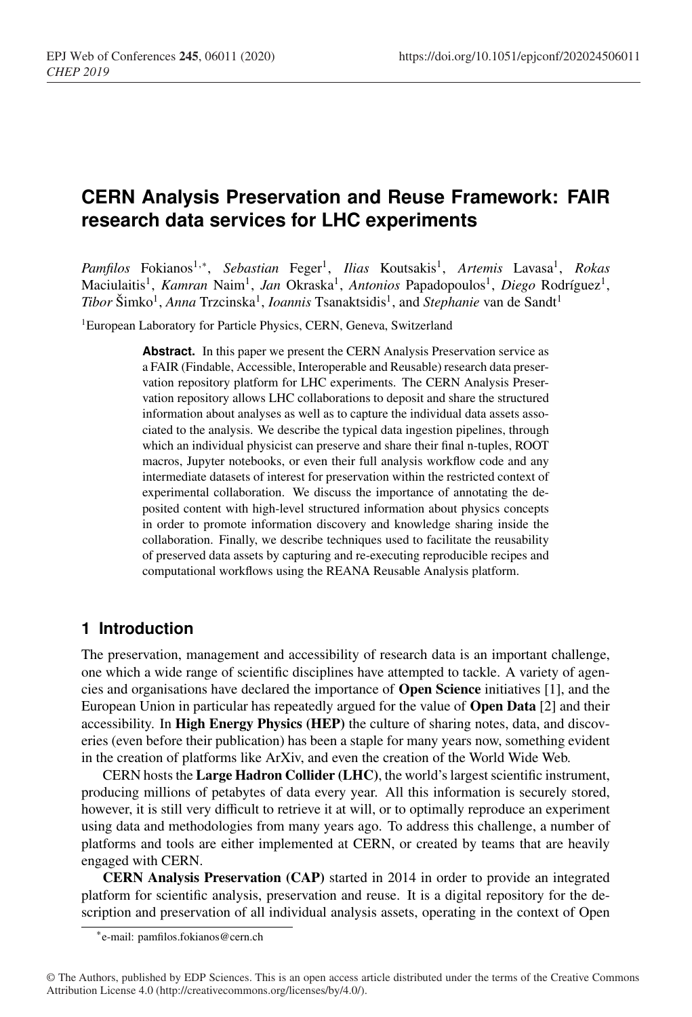# **CERN Analysis Preservation and Reuse Framework: FAIR research data services for LHC experiments**

*Pamfilos* Fokianos<sup>1,∗</sup>, *Sebastian* Feger<sup>1</sup>, *Ilias* Koutsakis<sup>1</sup>, *Artemis* Lavasa<sup>1</sup>, *Rokas* Maciulaitis<sup>1</sup>, *Kamran* Naim<sup>1</sup>, *Jan* Okraska<sup>1</sup>, *Antonios* Papadopoulos<sup>1</sup>, *Diego* Rodríguez<sup>1</sup>, *Tibor* Šimko<sup>1</sup>, *Anna* Trzcinska<sup>1</sup>, *Ioannis* Tsanaktsidis<sup>1</sup>, and *Stephanie* van de Sandt<sup>1</sup>

<sup>1</sup>European Laboratory for Particle Physics, CERN, Geneva, Switzerland

**Abstract.** In this paper we present the CERN Analysis Preservation service as a FAIR (Findable, Accessible, Interoperable and Reusable) research data preservation repository platform for LHC experiments. The CERN Analysis Preservation repository allows LHC collaborations to deposit and share the structured information about analyses as well as to capture the individual data assets associated to the analysis. We describe the typical data ingestion pipelines, through which an individual physicist can preserve and share their final n-tuples, ROOT macros, Jupyter notebooks, or even their full analysis workflow code and any intermediate datasets of interest for preservation within the restricted context of experimental collaboration. We discuss the importance of annotating the deposited content with high-level structured information about physics concepts in order to promote information discovery and knowledge sharing inside the collaboration. Finally, we describe techniques used to facilitate the reusability of preserved data assets by capturing and re-executing reproducible recipes and computational workflows using the REANA Reusable Analysis platform.

## **1 Introduction**

The preservation, management and accessibility of research data is an important challenge, one which a wide range of scientific disciplines have attempted to tackle. A variety of agencies and organisations have declared the importance of Open Science initiatives [1], and the European Union in particular has repeatedly argued for the value of Open Data [2] and their accessibility. In High Energy Physics (HEP) the culture of sharing notes, data, and discoveries (even before their publication) has been a staple for many years now, something evident in the creation of platforms like ArXiv, and even the creation of the World Wide Web.

CERN hosts the Large Hadron Collider (LHC), the world's largest scientific instrument, producing millions of petabytes of data every year. All this information is securely stored, however, it is still very difficult to retrieve it at will, or to optimally reproduce an experiment using data and methodologies from many years ago. To address this challenge, a number of platforms and tools are either implemented at CERN, or created by teams that are heavily engaged with CERN.

CERN Analysis Preservation (CAP) started in 2014 in order to provide an integrated platform for scientific analysis, preservation and reuse. It is a digital repository for the description and preservation of all individual analysis assets, operating in the context of Open

<sup>∗</sup> e-mail: pamfilos.fokianos@cern.ch

<sup>©</sup> The Authors, published by EDP Sciences. This is an open access article distributed under the terms of the Creative Commons Attribution License 4.0 (http://creativecommons.org/licenses/by/4.0/).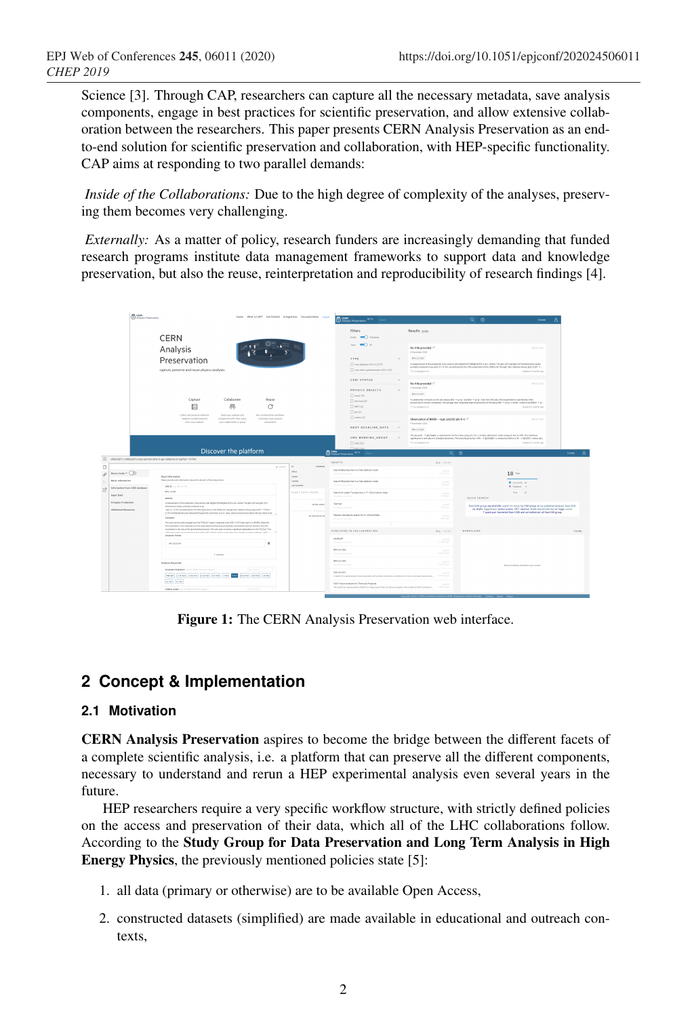Science [3]. Through CAP, researchers can capture all the necessary metadata, save analysis components, engage in best practices for scientific preservation, and allow extensive collaboration between the researchers. This paper presents CERN Analysis Preservation as an endto-end solution for scientific preservation and collaboration, with HEP-specific functionality. CAP aims at responding to two parallel demands:

*Inside of the Collaborations:* Due to the high degree of complexity of the analyses, preserving them becomes very challenging.

*Externally:* As a matter of policy, research funders are increasingly demanding that funded research programs institute data management frameworks to support data and knowledge preservation, but also the reuse, reinterpretation and reproducibility of research findings [4].

| <b>COSS</b>                                                                                                  |                                                                                                                                                                                                                                                                                                                                                                                                                                                                                                                                                                                                                                                                                                                                                                                                                     | Home What's CAP? Get Started Integrations Documentation Login           | CLESS Analysis Preservation RETA<br><b><i>Channel</i></b>                                                                   | േര                                                                                                                                                                                                                                                                                                                            | Create                                                                                                                                                                                                                                                              |
|--------------------------------------------------------------------------------------------------------------|---------------------------------------------------------------------------------------------------------------------------------------------------------------------------------------------------------------------------------------------------------------------------------------------------------------------------------------------------------------------------------------------------------------------------------------------------------------------------------------------------------------------------------------------------------------------------------------------------------------------------------------------------------------------------------------------------------------------------------------------------------------------------------------------------------------------|-------------------------------------------------------------------------|-----------------------------------------------------------------------------------------------------------------------------|-------------------------------------------------------------------------------------------------------------------------------------------------------------------------------------------------------------------------------------------------------------------------------------------------------------------------------|---------------------------------------------------------------------------------------------------------------------------------------------------------------------------------------------------------------------------------------------------------------------|
| <b>CERN</b>                                                                                                  |                                                                                                                                                                                                                                                                                                                                                                                                                                                                                                                                                                                                                                                                                                                                                                                                                     |                                                                         | <b>Filters</b><br><b>COLLEGE</b><br>Drafts.                                                                                 | Results area                                                                                                                                                                                                                                                                                                                  |                                                                                                                                                                                                                                                                     |
| Analysis                                                                                                     |                                                                                                                                                                                                                                                                                                                                                                                                                                                                                                                                                                                                                                                                                                                                                                                                                     |                                                                         |                                                                                                                             | No title provided (2)<br>5 November 2018                                                                                                                                                                                                                                                                                      | EPH 13-023                                                                                                                                                                                                                                                          |
|                                                                                                              | Preservation<br>capture, preserve and reuse physics analyses                                                                                                                                                                                                                                                                                                                                                                                                                                                                                                                                                                                                                                                                                                                                                        |                                                                         | TYPE.<br>$\Box$ one-sealesty-0.0.1 (137)<br>TT one-state-questionaire-v0.0.1 CD                                             | <b>BRATTLINE</b><br>A measurement of the production cross raction ratio (CQD)(13PD)(COD)(13D) is one-served. The gbd CSP) and gb2 CSP3 bottomsmium (trans.<br>promptly produced in cor says C C = 8 TeV, are detected by the DRI experiment at the DIRK LHC through their radiative decays [61,3039 - * .<br>12 scalestown in | Updated 5 months ago                                                                                                                                                                                                                                                |
|                                                                                                              |                                                                                                                                                                                                                                                                                                                                                                                                                                                                                                                                                                                                                                                                                                                                                                                                                     |                                                                         | CADI STATUS<br>$\sim$<br>PHYSICS OBJECTS<br>$\Delta$<br>$\Box$ muon CD                                                      | No title provided of<br>5 November 2018<br>are 11 oct.                                                                                                                                                                                                                                                                        | $10 + 13 - 017$                                                                                                                                                                                                                                                     |
|                                                                                                              | Capture<br>88<br>⋿<br>Collect and present dements<br>Share your analysis and                                                                                                                                                                                                                                                                                                                                                                                                                                                                                                                                                                                                                                                                                                                                        | Collaborate<br>Rouse<br>G<br>flun complement workflows                  |                                                                                                                             | A continuition of results on the rank decays But- H g+p- and BBD - H p+p- from the DHS and LHCb experiments is performed. After<br>accounting for locaus constations, the average time integrated branching baction of the decay BaD -> (ar)a- is deter initial to be BDo3 -> (a.<br>11 scrampers is<br>Updated 5 months ago  |                                                                                                                                                                                                                                                                     |
|                                                                                                              | paying to sockeyment and<br>components with other space.<br>your collaboration or group.<br>never your analysis.                                                                                                                                                                                                                                                                                                                                                                                                                                                                                                                                                                                                                                                                                                    | and easily more analysis.<br>components                                 | $\Box$ verso: (1)<br>NEXT DEADLINE, DATE<br>$\sim$                                                                          | Observation of BROH - - Ggt; psiC25) phi K+3 -<br>A Monaday 1974<br>89113-009<br>The decay th- - · @C2DQRI> is observed for the first time using 1K-6 fb-1 of data sollected at center energy II Tell at Offi. The statistical                                                                                                | 88413-009                                                                                                                                                                                                                                                           |
|                                                                                                              | Discover the platform                                                                                                                                                                                                                                                                                                                                                                                                                                                                                                                                                                                                                                                                                                                                                                                               |                                                                         | CHS MOREING GROUP<br>$\Box$ HIG (53)<br><b>ITT</b> essere<br>Command Personal Street                                        | significance is well above 5 standard deviations. The branching traction of B = = QCES(HC+ is measured solative to B = = QCESE+, where also.<br>22 scientistener                                                                                                                                                              | Unitered Covereira anni<br>Create                                                                                                                                                                                                                                   |
| child 2019) / child (1P) cross-section ratio in pp collisions at surt(c) - 8 TeV                             |                                                                                                                                                                                                                                                                                                                                                                                                                                                                                                                                                                                                                                                                                                                                                                                                                     |                                                                         | <b>ORAFTS</b>                                                                                                               | $Q$ $\circledcirc$                                                                                                                                                                                                                                                                                                            |                                                                                                                                                                                                                                                                     |
| Reste mode O C<br>â<br>Basic Information                                                                     |                                                                                                                                                                                                                                                                                                                                                                                                                                                                                                                                                                                                                                                                                                                                                                                                                     | <b>Alfablich</b><br>$\sim$<br><b>HE SAVE</b><br><b>Status</b><br>County | Search Ell production in a falls hadronic mode                                                                              | ALL YOURS<br><b>STARTING</b><br>Library and                                                                                                                                                                                                                                                                                   | $18$ $m$                                                                                                                                                                                                                                                            |
| <b>Basic Information</b><br><b>CAND</b> ALLINEATED<br>Information from CADI database<br>r2<br><b>MYSTERS</b> | Please sensity appe information educated for whose first discussions have                                                                                                                                                                                                                                                                                                                                                                                                                                                                                                                                                                                                                                                                                                                                           | Onest<br>Listantes                                                      | Search EB crocks from in a fully hadronic mode<br>Total and with the Constitution of                                        | <b>STARTING</b><br>Lides was                                                                                                                                                                                                                                                                                                  | <b>B</b> Northern 18<br><b>B</b> runnel of                                                                                                                                                                                                                          |
| <b>Mauf Data</b><br>Ahmed                                                                                    |                                                                                                                                                                                                                                                                                                                                                                                                                                                                                                                                                                                                                                                                                                                                                                                                                     | FILES   DATA   REPOS                                                    | Search for single T production, in T -> 123m2 decay mode<br><b>Modeling Street</b>                                          | <b>Send Arts</b><br>Liby ap-<br>QUICK SEARCH                                                                                                                                                                                                                                                                                  | Sea 18                                                                                                                                                                                                                                                              |
| N taples Production<br>Additional Resources                                                                  | A measurement of the production cross section ratio (PQS/SEPS/MQBEER) to pre- served. The glob ERS and glub ERS<br>between the precipitations as<br>10YC-1 TVC on driving by the DVS experience at the CERFLIAC through their reductive decays (\$1,313) = YCEO +<br>y. The emitted photons are reassured through their aprentises to ener- park, whose reconstruction above. The help shows to be<br>Forchang<br>The closs section ratio averaged over the Y2S2 of range is treasured to be 6.85 × 0.97 bina wast + 8.06 (BF), when the<br>for unasterly a the contention of the experimental statutical and customers; unartantes and the cocondict from the<br>uncertainty in the ratio of the W-branching fractions. The ratio-does not show a comficient dependence on the YCEO of. This<br>.<br>Anahols Notes | <b>No files added</b>                                                   | YerrSeg<br>No domac                                                                                                         | <b>Send Ave</b><br><b>Talent</b>                                                                                                                                                                                                                                                                                              | from DXD group see all drafts search for moon by TOP group all my published analysis from DCD<br>my drafts higgs beson proton-proton MET electron drafts shared with me jet higgs vertex.<br>T quark pair harvested from CADI and not edited yet all from HIG group |
|                                                                                                              |                                                                                                                                                                                                                                                                                                                                                                                                                                                                                                                                                                                                                                                                                                                                                                                                                     | No wassington ad-                                                       | Oboson resonances search for X-238 mOH200<br>No. alternative consistent                                                     | <b>Statistics</b><br>A first spo                                                                                                                                                                                                                                                                                              |                                                                                                                                                                                                                                                                     |
|                                                                                                              |                                                                                                                                                                                                                                                                                                                                                                                                                                                                                                                                                                                                                                                                                                                                                                                                                     |                                                                         | PUBLISHED IN COLLABORATION                                                                                                  | WORKFLOWS<br>ALL YOURS                                                                                                                                                                                                                                                                                                        | <b>YOU ES</b>                                                                                                                                                                                                                                                       |
| ANDROIDS                                                                                                     |                                                                                                                                                                                                                                                                                                                                                                                                                                                                                                                                                                                                                                                                                                                                                                                                                     | ۰                                                                       | and/out<br>No absoluted provide                                                                                             | spinest<br>2 weeks awa                                                                                                                                                                                                                                                                                                        |                                                                                                                                                                                                                                                                     |
|                                                                                                              | $+$ Addition                                                                                                                                                                                                                                                                                                                                                                                                                                                                                                                                                                                                                                                                                                                                                                                                        |                                                                         | 8PH 05-006                                                                                                                  | <b>Spinated</b><br>Tomas Che anno                                                                                                                                                                                                                                                                                             |                                                                                                                                                                                                                                                                     |
| Analysis Keywords                                                                                            |                                                                                                                                                                                                                                                                                                                                                                                                                                                                                                                                                                                                                                                                                                                                                                                                                     |                                                                         | 89+15-003<br>No. allows to the ballion                                                                                      | <b>Standard Control</b><br><b>Simpleted and</b>                                                                                                                                                                                                                                                                               | Beard workforce attached to your content                                                                                                                                                                                                                            |
|                                                                                                              | Anniverse Researchers full by Printmaster for columns<br><b>Charles</b><br>REGIV 2.51 W/ 5.82 W/ 3.64 SF 3.5 W/ 7.54<br>EN W ETW DWG<br><b>ESW</b>                                                                                                                                                                                                                                                                                                                                                                                                                                                                                                                                                                                                                                                                  |                                                                         | 9 KALONT<br>A search by a portunities involving authorities of the Care and Motor consideration or more and land infants in |                                                                                                                                                                                                                                                                                                                               |                                                                                                                                                                                                                                                                     |
| <b>BOW TEW</b>                                                                                               |                                                                                                                                                                                                                                                                                                                                                                                                                                                                                                                                                                                                                                                                                                                                                                                                                     |                                                                         | SUSY future enalyses for Technical Proposal                                                                                 |                                                                                                                                                                                                                                                                                                                               |                                                                                                                                                                                                                                                                     |

Figure 1: The CERN Analysis Preservation web interface.

## **2 Concept & Implementation**

## **2.1 Motivation**

CERN Analysis Preservation aspires to become the bridge between the different facets of a complete scientific analysis, i.e. a platform that can preserve all the different components, necessary to understand and rerun a HEP experimental analysis even several years in the future.

HEP researchers require a very specific workflow structure, with strictly defined policies on the access and preservation of their data, which all of the LHC collaborations follow. According to the Study Group for Data Preservation and Long Term Analysis in High Energy Physics, the previously mentioned policies state [5]:

- 1. all data (primary or otherwise) are to be available Open Access,
- 2. constructed datasets (simplified) are made available in educational and outreach contexts,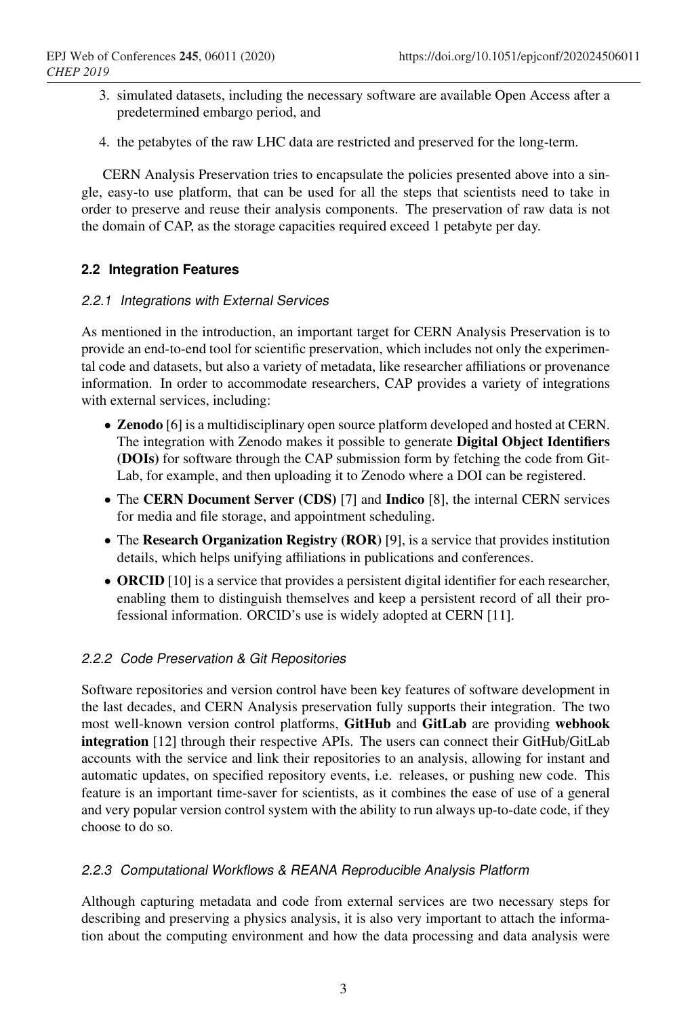- 3. simulated datasets, including the necessary software are available Open Access after a predetermined embargo period, and
- 4. the petabytes of the raw LHC data are restricted and preserved for the long-term.

CERN Analysis Preservation tries to encapsulate the policies presented above into a single, easy-to use platform, that can be used for all the steps that scientists need to take in order to preserve and reuse their analysis components. The preservation of raw data is not the domain of CAP, as the storage capacities required exceed 1 petabyte per day.

## **2.2 Integration Features**

### 2.2.1 Integrations with External Services

As mentioned in the introduction, an important target for CERN Analysis Preservation is to provide an end-to-end tool for scientific preservation, which includes not only the experimental code and datasets, but also a variety of metadata, like researcher affiliations or provenance information. In order to accommodate researchers, CAP provides a variety of integrations with external services, including:

- Zenodo [6] is a multidisciplinary open source platform developed and hosted at CERN. The integration with Zenodo makes it possible to generate Digital Object Identifiers (DOIs) for software through the CAP submission form by fetching the code from Git-Lab, for example, and then uploading it to Zenodo where a DOI can be registered.
- The CERN Document Server (CDS) [7] and Indico [8], the internal CERN services for media and file storage, and appointment scheduling.
- The Research Organization Registry (ROR) [9], is a service that provides institution details, which helps unifying affiliations in publications and conferences.
- ORCID [10] is a service that provides a persistent digital identifier for each researcher, enabling them to distinguish themselves and keep a persistent record of all their professional information. ORCID's use is widely adopted at CERN [11].

## 2.2.2 Code Preservation & Git Repositories

Software repositories and version control have been key features of software development in the last decades, and CERN Analysis preservation fully supports their integration. The two most well-known version control platforms, GitHub and GitLab are providing webhook integration [12] through their respective APIs. The users can connect their GitHub/GitLab accounts with the service and link their repositories to an analysis, allowing for instant and automatic updates, on specified repository events, i.e. releases, or pushing new code. This feature is an important time-saver for scientists, as it combines the ease of use of a general and very popular version control system with the ability to run always up-to-date code, if they choose to do so.

## 2.2.3 Computational Workflows & REANA Reproducible Analysis Platform

Although capturing metadata and code from external services are two necessary steps for describing and preserving a physics analysis, it is also very important to attach the information about the computing environment and how the data processing and data analysis were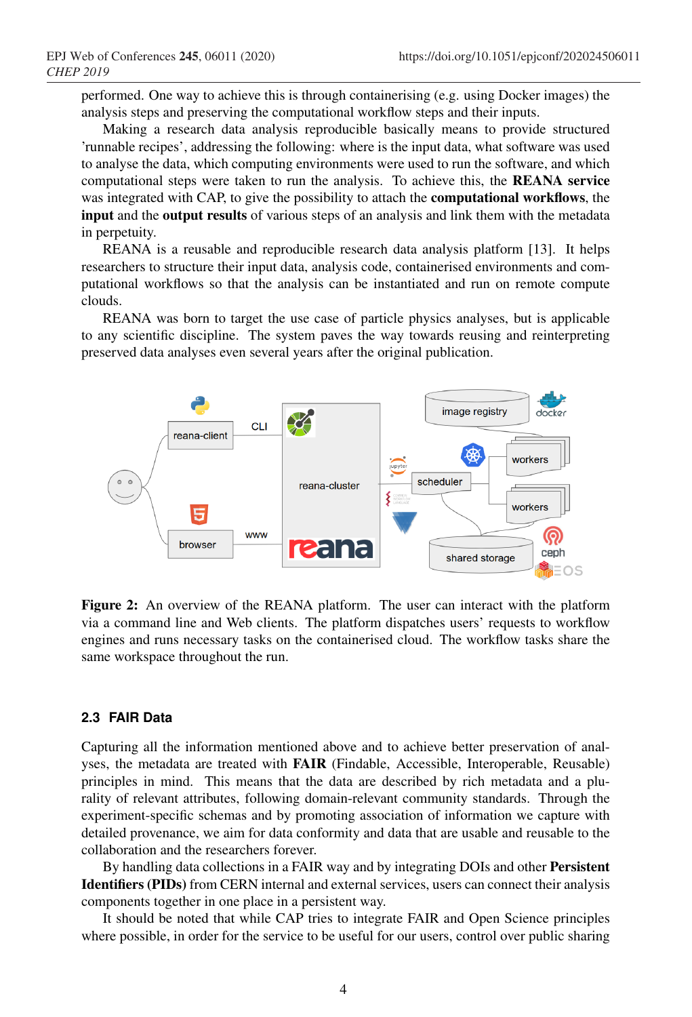performed. One way to achieve this is through containerising (e.g. using Docker images) the analysis steps and preserving the computational workflow steps and their inputs.

Making a research data analysis reproducible basically means to provide structured 'runnable recipes', addressing the following: where is the input data, what software was used to analyse the data, which computing environments were used to run the software, and which computational steps were taken to run the analysis. To achieve this, the REANA service was integrated with CAP, to give the possibility to attach the computational workflows, the input and the output results of various steps of an analysis and link them with the metadata in perpetuity.

REANA is a reusable and reproducible research data analysis platform [13]. It helps researchers to structure their input data, analysis code, containerised environments and computational workflows so that the analysis can be instantiated and run on remote compute clouds.

REANA was born to target the use case of particle physics analyses, but is applicable to any scientific discipline. The system paves the way towards reusing and reinterpreting preserved data analyses even several years after the original publication.



Figure 2: An overview of the REANA platform. The user can interact with the platform via a command line and Web clients. The platform dispatches users' requests to workflow engines and runs necessary tasks on the containerised cloud. The workflow tasks share the same workspace throughout the run.

### **2.3 FAIR Data**

Capturing all the information mentioned above and to achieve better preservation of analyses, the metadata are treated with FAIR (Findable, Accessible, Interoperable, Reusable) principles in mind. This means that the data are described by rich metadata and a plurality of relevant attributes, following domain-relevant community standards. Through the experiment-specific schemas and by promoting association of information we capture with detailed provenance, we aim for data conformity and data that are usable and reusable to the collaboration and the researchers forever.

By handling data collections in a FAIR way and by integrating DOIs and other Persistent Identifiers (PIDs) from CERN internal and external services, users can connect their analysis components together in one place in a persistent way.

It should be noted that while CAP tries to integrate FAIR and Open Science principles where possible, in order for the service to be useful for our users, control over public sharing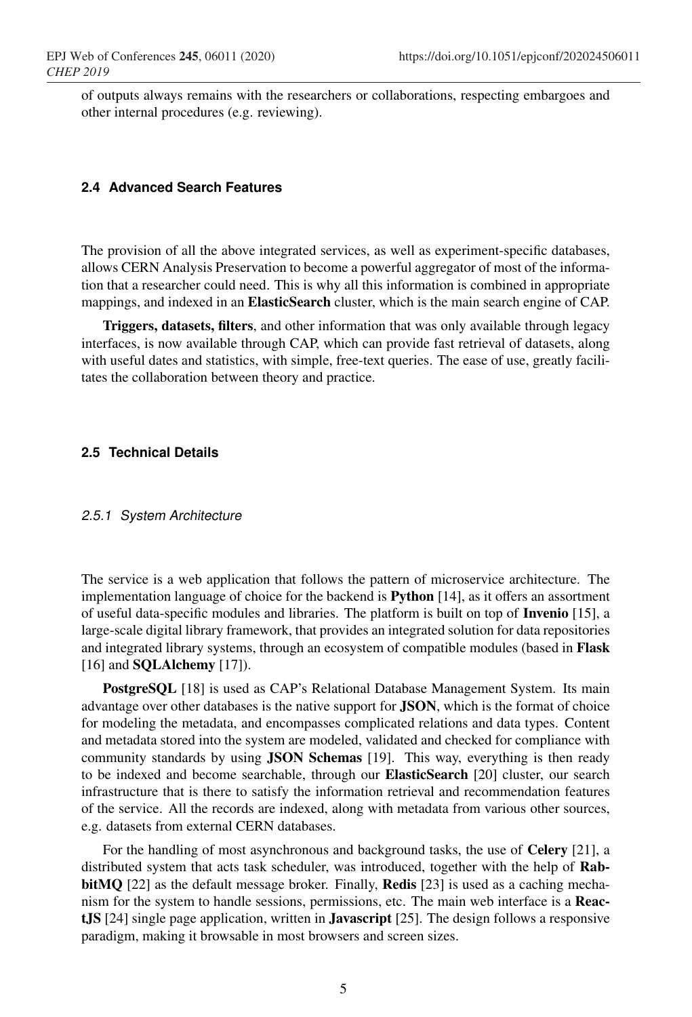of outputs always remains with the researchers or collaborations, respecting embargoes and other internal procedures (e.g. reviewing).

#### **2.4 Advanced Search Features**

The provision of all the above integrated services, as well as experiment-specific databases, allows CERN Analysis Preservation to become a powerful aggregator of most of the information that a researcher could need. This is why all this information is combined in appropriate mappings, and indexed in an ElasticSearch cluster, which is the main search engine of CAP.

Triggers, datasets, filters, and other information that was only available through legacy interfaces, is now available through CAP, which can provide fast retrieval of datasets, along with useful dates and statistics, with simple, free-text queries. The ease of use, greatly facilitates the collaboration between theory and practice.

#### **2.5 Technical Details**

#### 2.5.1 System Architecture

The service is a web application that follows the pattern of microservice architecture. The implementation language of choice for the backend is **Python** [14], as it offers an assortment of useful data-specific modules and libraries. The platform is built on top of Invenio [15], a large-scale digital library framework, that provides an integrated solution for data repositories and integrated library systems, through an ecosystem of compatible modules (based in Flask [16] and **SQLAlchemy** [17]).

PostgreSQL [18] is used as CAP's Relational Database Management System. Its main advantage over other databases is the native support for JSON, which is the format of choice for modeling the metadata, and encompasses complicated relations and data types. Content and metadata stored into the system are modeled, validated and checked for compliance with community standards by using JSON Schemas [19]. This way, everything is then ready to be indexed and become searchable, through our ElasticSearch [20] cluster, our search infrastructure that is there to satisfy the information retrieval and recommendation features of the service. All the records are indexed, along with metadata from various other sources, e.g. datasets from external CERN databases.

For the handling of most asynchronous and background tasks, the use of Celery [21], a distributed system that acts task scheduler, was introduced, together with the help of RabbitMQ [22] as the default message broker. Finally, Redis [23] is used as a caching mechanism for the system to handle sessions, permissions, etc. The main web interface is a ReactJS [24] single page application, written in Javascript [25]. The design follows a responsive paradigm, making it browsable in most browsers and screen sizes.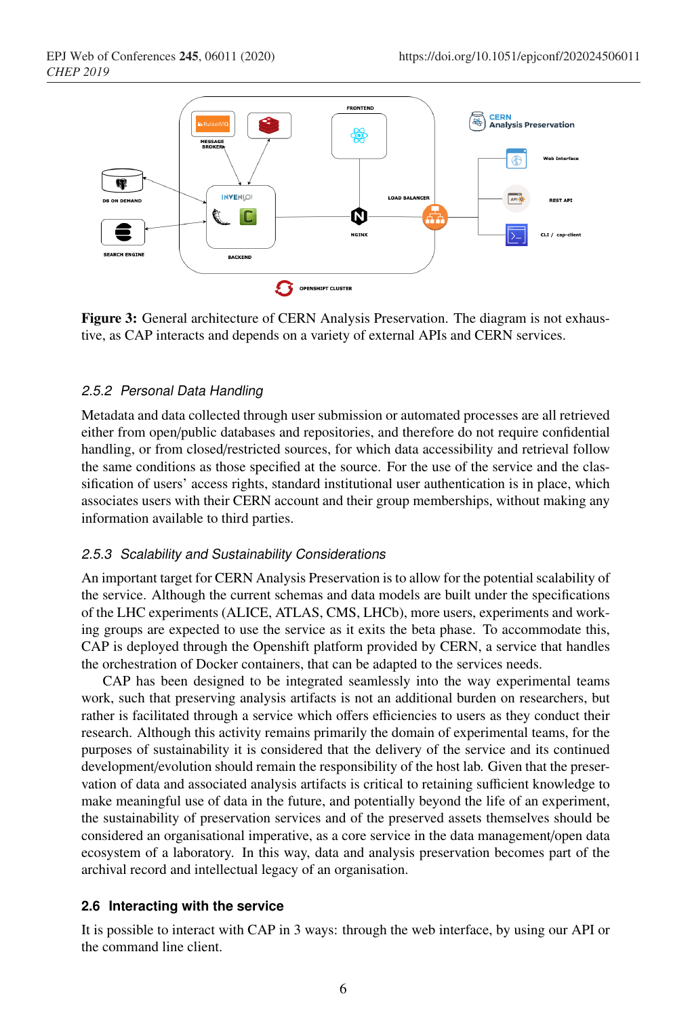

Figure 3: General architecture of CERN Analysis Preservation. The diagram is not exhaustive, as CAP interacts and depends on a variety of external APIs and CERN services.

#### 2.5.2 Personal Data Handling

Metadata and data collected through user submission or automated processes are all retrieved either from open/public databases and repositories, and therefore do not require confidential handling, or from closed/restricted sources, for which data accessibility and retrieval follow the same conditions as those specified at the source. For the use of the service and the classification of users' access rights, standard institutional user authentication is in place, which associates users with their CERN account and their group memberships, without making any information available to third parties.

### 2.5.3 Scalability and Sustainability Considerations

An important target for CERN Analysis Preservation is to allow for the potential scalability of the service. Although the current schemas and data models are built under the specifications of the LHC experiments (ALICE, ATLAS, CMS, LHCb), more users, experiments and working groups are expected to use the service as it exits the beta phase. To accommodate this, CAP is deployed through the Openshift platform provided by CERN, a service that handles the orchestration of Docker containers, that can be adapted to the services needs.

CAP has been designed to be integrated seamlessly into the way experimental teams work, such that preserving analysis artifacts is not an additional burden on researchers, but rather is facilitated through a service which offers efficiencies to users as they conduct their research. Although this activity remains primarily the domain of experimental teams, for the purposes of sustainability it is considered that the delivery of the service and its continued development/evolution should remain the responsibility of the host lab. Given that the preservation of data and associated analysis artifacts is critical to retaining sufficient knowledge to make meaningful use of data in the future, and potentially beyond the life of an experiment, the sustainability of preservation services and of the preserved assets themselves should be considered an organisational imperative, as a core service in the data management/open data ecosystem of a laboratory. In this way, data and analysis preservation becomes part of the archival record and intellectual legacy of an organisation.

#### **2.6 Interacting with the service**

It is possible to interact with CAP in 3 ways: through the web interface, by using our API or the command line client.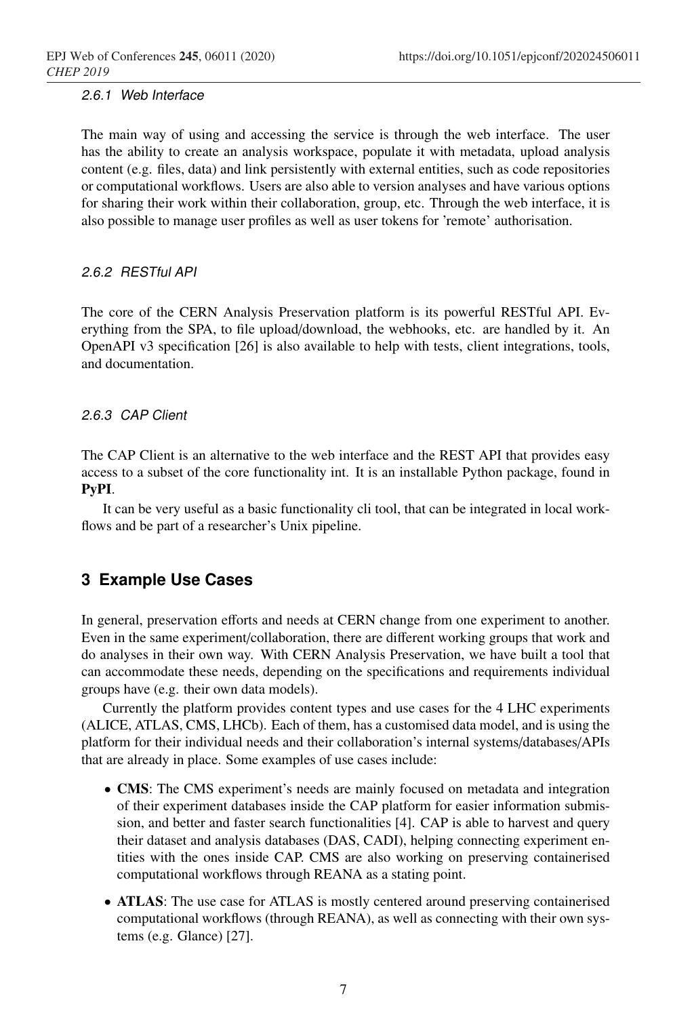#### 2.6.1 Web Interface

The main way of using and accessing the service is through the web interface. The user has the ability to create an analysis workspace, populate it with metadata, upload analysis content (e.g. files, data) and link persistently with external entities, such as code repositories or computational workflows. Users are also able to version analyses and have various options for sharing their work within their collaboration, group, etc. Through the web interface, it is also possible to manage user profiles as well as user tokens for 'remote' authorisation.

### 2.6.2 RESTful API

The core of the CERN Analysis Preservation platform is its powerful RESTful API. Everything from the SPA, to file upload/download, the webhooks, etc. are handled by it. An OpenAPI v3 specification [26] is also available to help with tests, client integrations, tools, and documentation.

### 2.6.3 CAP Client

The CAP Client is an alternative to the web interface and the REST API that provides easy access to a subset of the core functionality int. It is an installable Python package, found in PyPI.

It can be very useful as a basic functionality cli tool, that can be integrated in local workflows and be part of a researcher's Unix pipeline.

## **3 Example Use Cases**

In general, preservation efforts and needs at CERN change from one experiment to another. Even in the same experiment/collaboration, there are different working groups that work and do analyses in their own way. With CERN Analysis Preservation, we have built a tool that can accommodate these needs, depending on the specifications and requirements individual groups have (e.g. their own data models).

Currently the platform provides content types and use cases for the 4 LHC experiments (ALICE, ATLAS, CMS, LHCb). Each of them, has a customised data model, and is using the platform for their individual needs and their collaboration's internal systems/databases/APIs that are already in place. Some examples of use cases include:

- CMS: The CMS experiment's needs are mainly focused on metadata and integration of their experiment databases inside the CAP platform for easier information submission, and better and faster search functionalities [4]. CAP is able to harvest and query their dataset and analysis databases (DAS, CADI), helping connecting experiment entities with the ones inside CAP. CMS are also working on preserving containerised computational workflows through REANA as a stating point.
- ATLAS: The use case for ATLAS is mostly centered around preserving containerised computational workflows (through REANA), as well as connecting with their own systems (e.g. Glance) [27].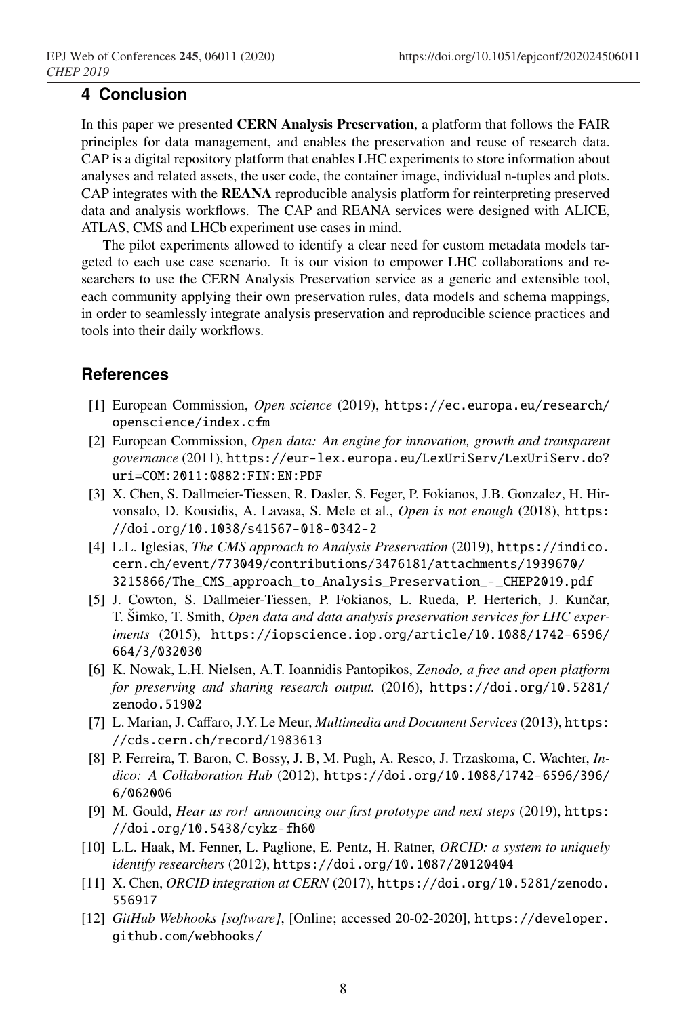## **4 Conclusion**

In this paper we presented CERN Analysis Preservation, a platform that follows the FAIR principles for data management, and enables the preservation and reuse of research data. CAP is a digital repository platform that enables LHC experiments to store information about analyses and related assets, the user code, the container image, individual n-tuples and plots. CAP integrates with the REANA reproducible analysis platform for reinterpreting preserved data and analysis workflows. The CAP and REANA services were designed with ALICE, ATLAS, CMS and LHCb experiment use cases in mind.

The pilot experiments allowed to identify a clear need for custom metadata models targeted to each use case scenario. It is our vision to empower LHC collaborations and researchers to use the CERN Analysis Preservation service as a generic and extensible tool, each community applying their own preservation rules, data models and schema mappings, in order to seamlessly integrate analysis preservation and reproducible science practices and tools into their daily workflows.

## **References**

- [1] European Commission, *Open science* (2019), https://ec.europa.eu/research/ openscience/index.cfm
- [2] European Commission, *Open data: An engine for innovation, growth and transparent governance* (2011), https://eur-lex.europa.eu/LexUriServ/LexUriServ.do? uri=COM:2011:0882:FIN:EN:PDF
- [3] X. Chen, S. Dallmeier-Tiessen, R. Dasler, S. Feger, P. Fokianos, J.B. Gonzalez, H. Hirvonsalo, D. Kousidis, A. Lavasa, S. Mele et al., *Open is not enough* (2018), https: //doi.org/10.1038/s41567-018-0342-2
- [4] L.L. Iglesias, *The CMS approach to Analysis Preservation* (2019), https://indico. cern.ch/event/773049/contributions/3476181/attachments/1939670/ 3215866/The\_CMS\_approach\_to\_Analysis\_Preservation\_-\_CHEP2019.pdf
- [5] J. Cowton, S. Dallmeier-Tiessen, P. Fokianos, L. Rueda, P. Herterich, J. Kunčar, T. Šimko, T. Smith, *Open data and data analysis preservation services for LHC experiments* (2015), https://iopscience.iop.org/article/10.1088/1742-6596/ 664/3/032030
- [6] K. Nowak, L.H. Nielsen, A.T. Ioannidis Pantopikos, *Zenodo, a free and open platform for preserving and sharing research output.* (2016), https://doi.org/10.5281/ zenodo.51902
- [7] L. Marian, J. Caffaro, J.Y. Le Meur, *Multimedia and Document Services* (2013), https: //cds.cern.ch/record/1983613
- [8] P. Ferreira, T. Baron, C. Bossy, J. B, M. Pugh, A. Resco, J. Trzaskoma, C. Wachter, *Indico: A Collaboration Hub* (2012), https://doi.org/10.1088/1742-6596/396/ 6/062006
- [9] M. Gould, *Hear us ror! announcing our first prototype and next steps* (2019), https: //doi.org/10.5438/cykz-fh60
- [10] L.L. Haak, M. Fenner, L. Paglione, E. Pentz, H. Ratner, *ORCID: a system to uniquely identify researchers* (2012), https://doi.org/10.1087/20120404
- [11] X. Chen, *ORCID integration at CERN* (2017), https://doi.org/10.5281/zenodo. 556917
- [12] *GitHub Webhooks [software]*, [Online; accessed 20-02-2020], https://developer. github.com/webhooks/